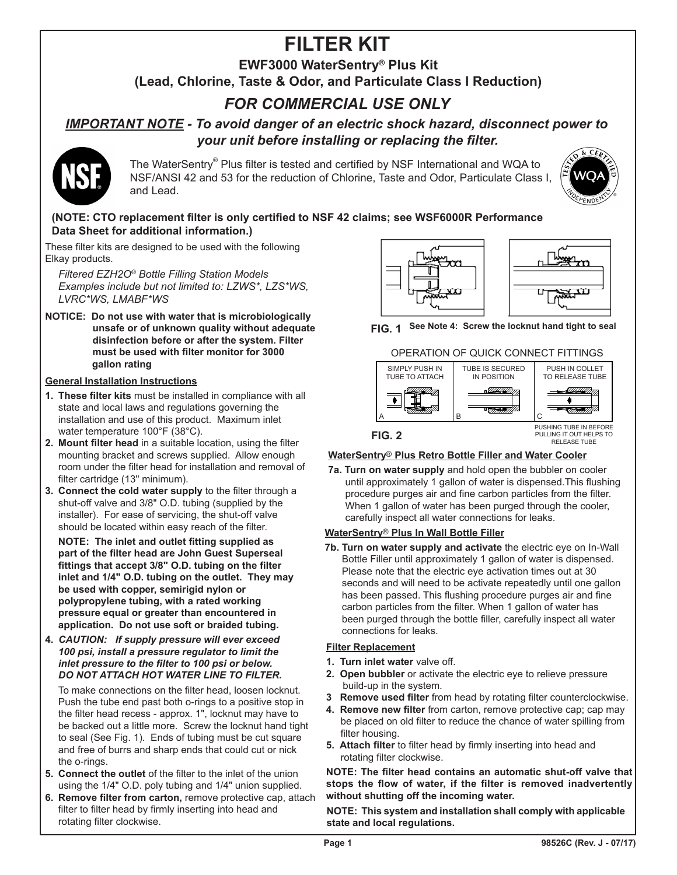# **FILTER KIT**

## **EWF3000 WaterSentry® Plus Kit**

**(Lead, Chlorine, Taste & Odor, and Particulate Class I Reduction)**

## *FOR COMMERCIAL USE ONLY*

## *IMPORTANT NOTE - To avoid danger of an electric shock hazard, disconnect power to your unit before installing or replacing the filter.*



The WaterSentry® Plus filter is tested and certified by NSF International and WQA to NSF/ANSI 42 and 53 for the reduction of Chlorine, Taste and Odor, Particulate Class I, and Lead.



### **(NOTE: CTO replacement filter is only certified to NSF 42 claims; see WSF6000R Performance Data Sheet for additional information.)**

These filter kits are designed to be used with the following Elkay products.

*Filtered EZH2O® Bottle Filling Station Models Examples include but not limited to: LZWS\*, LZS\*WS, LVRC\*WS, LMABF\*WS*

**NOTICE: Do not use with water that is microbiologically unsafe or of unknown quality without adequate disinfection before or after the system. Filter must be used with filter monitor for 3000 gallon rating**

#### **General Installation Instructions**

- **1. These filter kits** must be installed in compliance with all state and local laws and regulations governing the installation and use of this product. Maximum inlet water temperature 100°F (38°C).
- **2. Mount filter head** in a suitable location, using the filter mounting bracket and screws supplied. Allow enough room under the filter head for installation and removal of filter cartridge (13" minimum).
- **3. Connect the cold water supply** to the filter through a shut-off valve and 3/8" O.D. tubing (supplied by the installer). For ease of servicing, the shut-off valve should be located within easy reach of the filter.

 **NOTE: The inlet and outlet fitting supplied as part of the filter head are John Guest Superseal fittings that accept 3/8" O.D. tubing on the filter inlet and 1/4" O.D. tubing on the outlet. They may be used with copper, semirigid nylon or polypropylene tubing, with a rated working pressure equal or greater than encountered in application. Do not use soft or braided tubing.**

**4.**  *CAUTION: If supply pressure will ever exceed 100 psi, install a pressure regulator to limit the inlet pressure to the filter to 100 psi or below. DO NOT ATTACH HOT WATER LINE TO FILTER.*

 To make connections on the filter head, loosen locknut. Push the tube end past both o-rings to a positive stop in the filter head recess - approx. 1", locknut may have to be backed out a little more. Screw the locknut hand tight to seal (See Fig. 1). Ends of tubing must be cut square and free of burrs and sharp ends that could cut or nick the o-rings.

- **5. Connect the outlet** of the filter to the inlet of the union using the 1/4" O.D. poly tubing and 1/4" union supplied.
- **6. Remove filter from carton,** remove protective cap, attach filter to filter head by firmly inserting into head and rotating filter clockwise.



**FIG. 1 See Note 4: Screw the locknut hand tight to seal**





#### <u>WaterSentry® Plus Retro Bottle Filler and Water Cooler</u>

**7a. Turn on water supply** and hold open the bubbler on cooler until approximately 1 gallon of water is dispensed.This flushing procedure purges air and fine carbon particles from the filter. When 1 gallon of water has been purged through the cooler, carefully inspect all water connections for leaks.

#### <u>WaterSentry® Plus In Wall Bottle Filler</u>

**7b. Turn on water supply and activate** the electric eye on In-Wall Bottle Filler until approximately 1 gallon of water is dispensed. Please note that the electric eye activation times out at 30 seconds and will need to be activate repeatedly until one gallon has been passed. This flushing procedure purges air and fine carbon particles from the filter. When 1 gallon of water has been purged through the bottle filler, carefully inspect all water connections for leaks.

#### **Filter Replacement**

- **1. Turn inlet water** valve off.
- **2. Open bubbler** or activate the electric eye to relieve pressure build-up in the system.
- **3 Remove used filter** from head by rotating filter counterclockwise.
- **4. Remove new filter** from carton, remove protective cap; cap may be placed on old filter to reduce the chance of water spilling from filter housing.
- **5. Attach filter** to filter head by firmly inserting into head and rotating filter clockwise.

**NOTE: The filter head contains an automatic shut-off valve that stops the flow of water, if the filter is removed inadvertently without shutting off the incoming water.**

**NOTE: This system and installation shall comply with applicable state and local regulations.**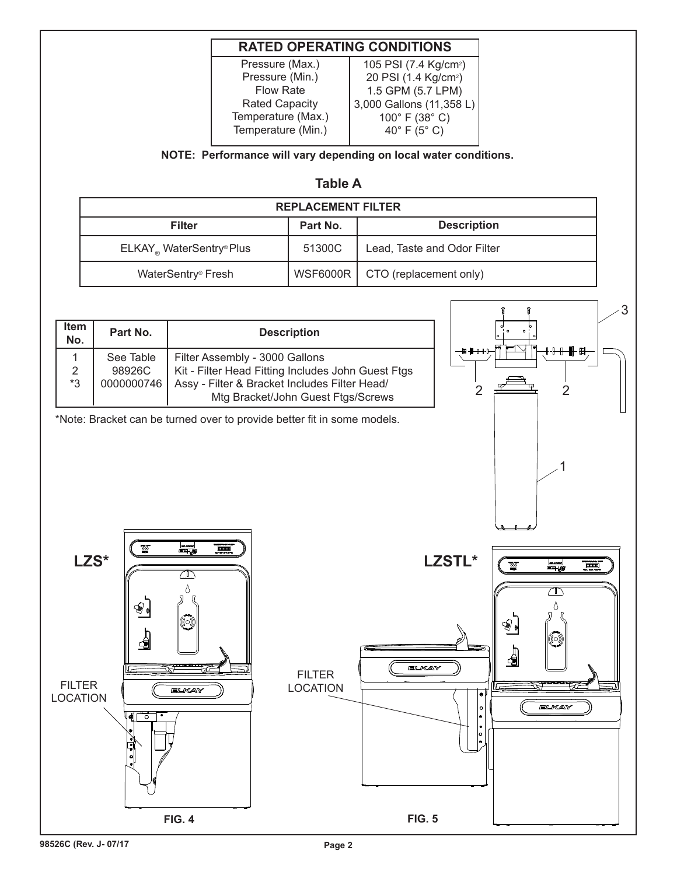## **RATED OPERATING CONDITIONS**

Pressure (Max.) Pressure (Min.) Flow Rate Rated Capacity Temperature (Max.) Temperature (Min.)

105 PSI (7.4 Kg/cm<sup>2</sup>) 20 PSI (1.4 Kg/cm²) 1.5 GPM (5.7 LPM) 3,000 Gallons (11,358 L) 100° F (38° C) 40° F (5° C)

**NOTE: Performance will vary depending on local water conditions.**

### **Table A**

| <b>REPLACEMENT FILTER</b>                     |          |                             |  |  |  |
|-----------------------------------------------|----------|-----------------------------|--|--|--|
| <b>Filter</b>                                 | Part No. | <b>Description</b>          |  |  |  |
| $ELKAY_{\circ}$ WaterSentry <sup>®</sup> Plus | 51300C   | Lead, Taste and Odor Filter |  |  |  |
| WaterSentry <sup>®</sup> Fresh                | WSF6000R | CTO (replacement only)      |  |  |  |

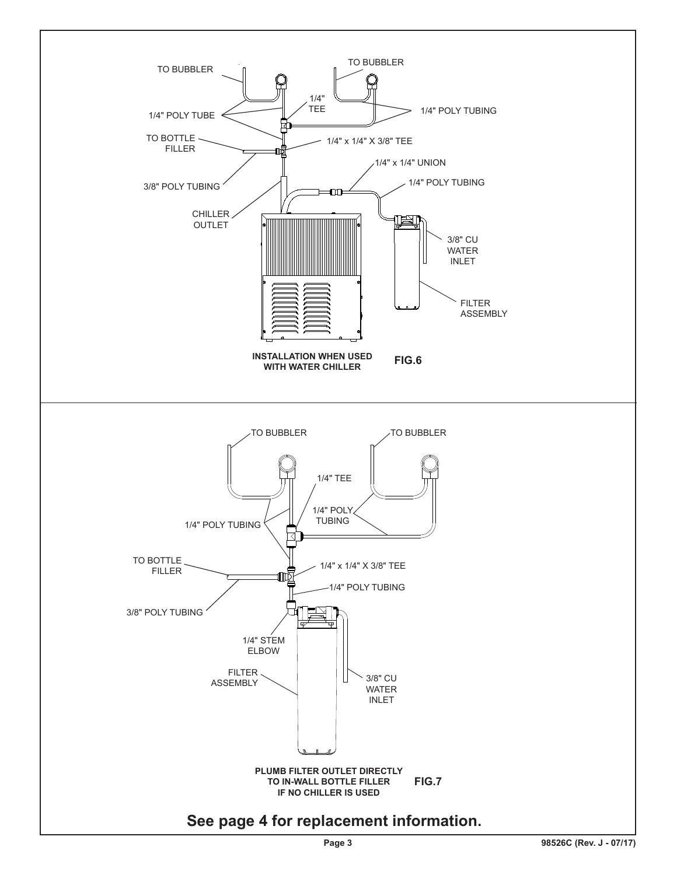